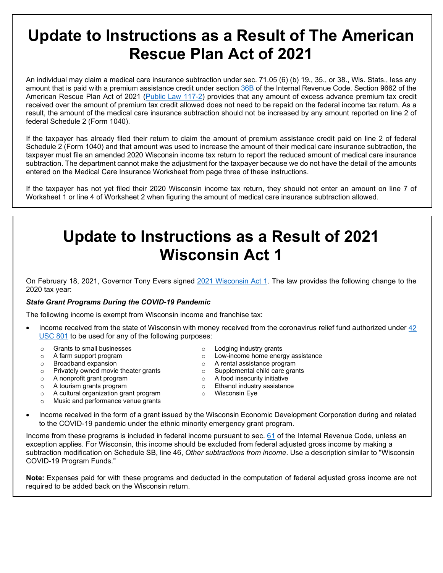# **Update to Instructions as a Result of The American Rescue Plan Act of 2021**

An individual may claim a medical care insurance subtraction under sec. 71.05 (6) (b) 19., 35., or 38., Wis. Stats., less any amount that is paid with a premium assistance credit under section [36B](https://www.law.cornell.edu/uscode/text/26/36B) of the Internal Revenue Code. Section 9662 of the American Rescue Plan Act of 2021 [\(Public Law 117-2\)](https://www.congress.gov/117/bills/hr1319/BILLS-117hr1319enr.pdf) provides that any amount of excess advance premium tax credit received over the amount of premium tax credit allowed does not need to be repaid on the federal income tax return. As a result, the amount of the medical care insurance subtraction should not be increased by any amount reported on line 2 of federal Schedule 2 (Form 1040).

If the taxpayer has already filed their return to claim the amount of premium assistance credit paid on line 2 of federal Schedule 2 (Form 1040) and that amount was used to increase the amount of their medical care insurance subtraction, the taxpayer must file an amended 2020 Wisconsin income tax return to report the reduced amount of medical care insurance subtraction. The department cannot make the adjustment for the taxpayer because we do not have the detail of the amounts entered on the Medical Care Insurance Worksheet from page three of these instructions.

If the taxpayer has not yet filed their 2020 Wisconsin income tax return, they should not enter an amount on line 7 of Worksheet 1 or line 4 of Worksheet 2 when figuring the amount of medical care insurance subtraction allowed.

# **Update to Instructions as a Result of 2021 Wisconsin Act 1**

On February 18, 2021, Governor Tony Evers signed [2021 Wisconsin Act 1.](https://docs.legis.wisconsin.gov/2021/related/acts/1.pdf) The law provides the following change to the 2020 tax year:

#### *State Grant Programs During the COVID-19 Pandemic*

The following income is exempt from Wisconsin income and franchise tax:

- Income received from the state of Wisconsin with money received from the coronavirus relief fund authorized under [42](https://www.law.cornell.edu/uscode/text/42/801)  [USC 801](https://www.law.cornell.edu/uscode/text/42/801) to be used for any of the following purposes:
	- o Grants to small businesses
	- o A farm support program
	- o Broadband expansion
	- o Privately owned movie theater grants
	- $\circ$  A nonprofit grant program<br> $\circ$  A tourism grants program
	- $\circ$  A tourism grants program<br> $\circ$  A cultural organization gra
	- A cultural organization grant program
	- Music and performance venue grants
- o Lodging industry grants
- o Low-income home energy assistance
- o A rental assistance program
- o Supplemental child care grants
	- $\circ$  A food insecurity initiative
	- $\circ$  Ethanol industry assistance
	- o Wisconsin Eye
- Income received in the form of a grant issued by the Wisconsin Economic Development Corporation during and related to the COVID-19 pandemic under the ethnic minority emergency grant program.

Income from these programs is included in federal income pursuant to sec. [61](https://www.law.cornell.edu/uscode/text/26/61) of the Internal Revenue Code, unless an exception applies. For Wisconsin, this income should be excluded from federal adjusted gross income by making a subtraction modification on Schedule SB, line 46, *Other subtractions from income*. Use a description similar to "Wisconsin COVID-19 Program Funds."

**Note:** Expenses paid for with these programs and deducted in the computation of federal adjusted gross income are not required to be added back on the Wisconsin return.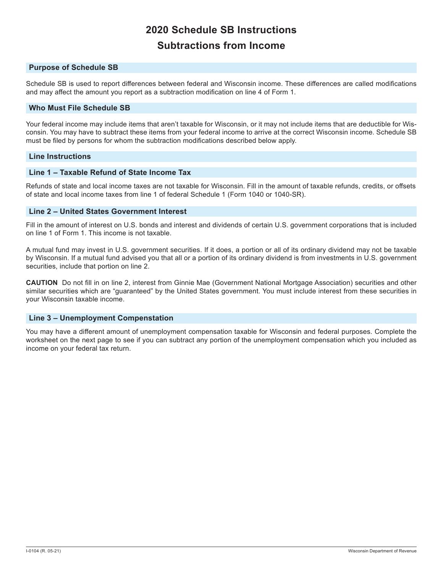## **2020 Schedule SB Instructions Subtractions from Income**

#### **Purpose of Schedule SB**

Schedule SB is used to report differences between federal and Wisconsin income. These differences are called modifications and may affect the amount you report as a subtraction modification on line 4 of Form 1.

#### **Who Must File Schedule SB**

Your federal income may include items that aren't taxable for Wisconsin, or it may not include items that are deductible for Wisconsin. You may have to subtract these items from your federal income to arrive at the correct Wisconsin income. Schedule SB must be filed by persons for whom the subtraction modifications described below apply.

#### **Line Instructions**

#### **Line 1 – Taxable Refund of State Income Tax**

Refunds of state and local income taxes are not taxable for Wisconsin. Fill in the amount of taxable refunds, credits, or offsets of state and local income taxes from line 1 of federal Schedule 1 (Form 1040 or 1040-SR).

#### **Line 2 – United States Government Interest**

Fill in the amount of interest on U.S. bonds and interest and dividends of certain U.S. government corporations that is included on line 1 of Form 1. This income is not taxable.

A mutual fund may invest in U.S. government securities. If it does, a portion or all of its ordinary dividend may not be taxable by Wisconsin. If a mutual fund advised you that all or a portion of its ordinary dividend is from investments in U.S. government securities, include that portion on line 2.

**CAUTION** Do not fill in on line 2, interest from Ginnie Mae (Government National Mortgage Association) securities and other similar securities which are "guaranteed" by the United States government. You must include interest from these securities in your Wisconsin taxable income.

#### **Line 3 – Unemployment Compenstation**

You may have a different amount of unemployment compensation taxable for Wisconsin and federal purposes. Complete the worksheet on the next page to see if you can subtract any portion of the unemployment compensation which you included as income on your federal tax return.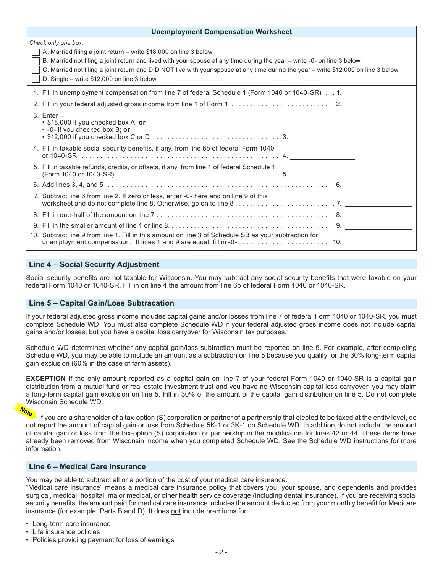| <b>Unemployment Compensation Worksheet</b>                                                                                                                                                                                                                                                                                                                                                                   |  |
|--------------------------------------------------------------------------------------------------------------------------------------------------------------------------------------------------------------------------------------------------------------------------------------------------------------------------------------------------------------------------------------------------------------|--|
| Check only one box.<br>A. Married filing a joint return – write \$18,000 on line 3 below.<br>B. Married not filing a joint return and lived with your spouse at any time during the year - write -0- on line 3 below.<br>C. Married not filing a joint return and DID NOT live with your spouse at any time during the year - write \$12,000 on line 3 below.<br>D. Single - write \$12,000 on line 3 below. |  |
| 1. Fill in unemployment compensation from line 7 of federal Schedule 1 (Form 1040 or 1040-SR) 1.                                                                                                                                                                                                                                                                                                             |  |
|                                                                                                                                                                                                                                                                                                                                                                                                              |  |
| $3.$ Enter $-$<br>• \$18,000 if you checked box A; or<br>$\cdot$ -0- if you checked box B; or                                                                                                                                                                                                                                                                                                                |  |
| 4. Fill in taxable social security benefits, if any, from line 6b of federal Form 1040                                                                                                                                                                                                                                                                                                                       |  |
| 5. Fill in taxable refunds, credits, or offsets, if any, from line 1 of federal Schedule 1                                                                                                                                                                                                                                                                                                                   |  |
|                                                                                                                                                                                                                                                                                                                                                                                                              |  |
| 7. Subtract line 6 from line 2. If zero or less, enter -0- here and on line 9 of this                                                                                                                                                                                                                                                                                                                        |  |
|                                                                                                                                                                                                                                                                                                                                                                                                              |  |
|                                                                                                                                                                                                                                                                                                                                                                                                              |  |
| 10. Subtract line 9 from line 1. Fill in this amount on line 3 of Schedule SB as your subtraction for                                                                                                                                                                                                                                                                                                        |  |

#### **Line 4 – Social Security Adjustment**

Social security benefits are not taxable for Wisconsin. You may subtract any social security benefits that were taxable on your federal Form 1040 or 1040-SR. Fill in on line 4 the amount from line 6b of federal Form 1040 or 1040-SR.

#### **Line 5 – Capital Gain/Loss Subtracation**

If your federal adjusted gross income includes capital gains and/or losses from line 7 of federal Form 1040 or 1040-SR, you must complete Schedule WD. You must also complete Schedule WD if your federal adjusted gross income does not include capital gains and/or losses, but you have a capital loss carryover for Wisconsin tax purposes.

Schedule WD determines whether any capital gain/loss subtraction must be reported on line 5. For example, after completing Schedule WD, you may be able to include an amount as a subtraction on line 5 because you qualify for the 30% long-term capital gain exclusion (60% in the case of farm assets).

**EXCEPTION** If the only amount reported as a capital gain on line 7 of your federal Form 1040 or 1040-SR is a capital gain distribution from a mutual fund or real estate investment trust and you have no Wisconsin capital loss carryover, you may claim a long-term capital gain exclusion on line 5. Fill in 30% of the amount of the capital gain distribution on line 5. Do not complete Wisconsin Schedule WD.

### **Vote**

If you are a shareholder of a tax-option (S) corporation or partner of a partnership that elected to be taxed at the entity level, do not report the amount of capital gain or loss from Schedule 5K-1 or 3K-1 on Schedule WD. In addition, do not include the amount of capital gain or loss from the tax-option (S) corporation or partnership in the modification for lines 42 or 44. These items have already been removed from Wisconsin income when you completed Schedule WD. See the Schedule WD instructions for more information.

#### **Line 6 – Medical Care Insurance**

You may be able to subtract all or a portion of the cost of your medical care insurance.

"Medical care insurance" means a medical care insurance policy that covers you, your spouse, and dependents and provides surgical, medical, hospital, major medical, or other health service coverage (including dental insurance). If you are receiving social security benefits, the amount paid for medical care insurance includes the amount deducted from your monthly benefit for Medicare insurance (for example, Parts B and D). It does not include premiums for:

- Long-term care insurance
- Life insurance policies
- Policies providing payment for loss of earnings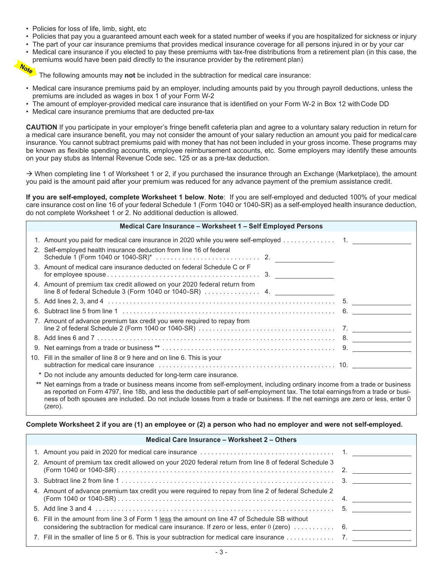- Policies for loss of life, limb, sight, etc
- Policies that pay you a guaranteed amount each week for a stated number of weeks if you are hospitalized for sickness or injury
- The part of your car insurance premiums that provides medical insurance coverage for all persons injured in or by your car
- Medical care insurance if you elected to pay these premiums with tax-free distributions from a retirement plan (in this case, the premiums would have been paid directly to the insurance provider by the retirement plan)<br> $\frac{1}{2}$

The following amounts may **not** be included in the subtraction for medical care insurance:

- Medical care insurance premiums paid by an employer, including amounts paid by you through payroll deductions, unless the premiums are included as wages in box 1 of your Form W-2
- The amount of employer-provided medical care insurance that is identified on your Form W-2 in Box 12 with Code DD
- Medical care insurance premiums that are deducted pre-tax

**CAUTION** If you participate in your employer's fringe benefit cafeteria plan and agree to a voluntary salary reduction in return for a medical care insurance benefit, you may not consider the amount of your salary reduction an amount you paid for medical care insurance. You cannot subtract premiums paid with money that has not been included in your gross income. These programs may be known as flexible spending accounts, employee reimbursement accounts, etc. Some employers may identify these amounts on your pay stubs as Internal Revenue Code sec. 125 or as a pre-tax deduction.

 $\rightarrow$  When completing line 1 of Worksheet 1 or 2, if you purchased the insurance through an Exchange (Marketplace), the amount you paid is the amount paid after your premium was reduced for any advance payment of the premium assistance credit.

**If you are self-employed, complete Worksheet 1 below**. **Note**: If you are self-employed and deducted 100% of your medical care insurance cost on line 16 of your federal Schedule 1 (Form 1040 or 1040-SR) as a self-employed health insurance deduction, do not complete Worksheet 1 or 2. No additional deduction is allowed.

| Medical Care Insurance - Worksheet 1 - Self Employed Persons                                                                                                                                  |  |
|-----------------------------------------------------------------------------------------------------------------------------------------------------------------------------------------------|--|
| 1. Amount you paid for medical care insurance in 2020 while you were self-employed 1.                                                                                                         |  |
| 2. Self-employed health insurance deduction from line 16 of federal                                                                                                                           |  |
| 3. Amount of medical care insurance deducted on federal Schedule C or F<br>for employee spouse $\dots\dots\dots\dots\dots\dots\dots\dots\dots\dots\dots\dots\dots$ 3.                         |  |
| 4. Amount of premium tax credit allowed on your 2020 federal return from                                                                                                                      |  |
|                                                                                                                                                                                               |  |
|                                                                                                                                                                                               |  |
| 7. Amount of advance premium tax credit you were required to repay from<br>line 2 of federal Schedule 2 (Form 1040 or 1040-SR) $\dots\dots\dots\dots\dots\dots\dots\dots\dots\dots\dots\dots$ |  |
|                                                                                                                                                                                               |  |
|                                                                                                                                                                                               |  |
| 10. Fill in the smaller of line 8 or 9 here and on line 6. This is your                                                                                                                       |  |
| * Do not include any amounts deducted for long-term care insurance.                                                                                                                           |  |
| ** Net earnings from a trade or business means income from self-employment, including ordinary income from a trade or business                                                                |  |

as reported on Form 4797, line 18b, and less the deductible part of self-employment tax. The total earnings from a trade or business of both spouses are included. Do not include losses from a trade or business. If the net earnings are zero or less, enter 0 (zero).

#### **Complete Worksheet 2 if you are (1) an employee or (2) a person who had no employer and were not self-employed.**

| Medical Care Insurance - Worksheet 2 - Others                                                                                                                                                                   |  |  |
|-----------------------------------------------------------------------------------------------------------------------------------------------------------------------------------------------------------------|--|--|
|                                                                                                                                                                                                                 |  |  |
| 2. Amount of premium tax credit allowed on your 2020 federal return from line 8 of federal Schedule 3                                                                                                           |  |  |
|                                                                                                                                                                                                                 |  |  |
| 4. Amount of advance premium tax credit you were required to repay from line 2 of federal Schedule 2                                                                                                            |  |  |
|                                                                                                                                                                                                                 |  |  |
| 6. Fill in the amount from line 3 of Form 1 less the amount on line 47 of Schedule SB without<br>considering the subtraction for medical care insurance. If zero or less, enter $0$ (zero) $\dots\dots\dots$ 6. |  |  |
|                                                                                                                                                                                                                 |  |  |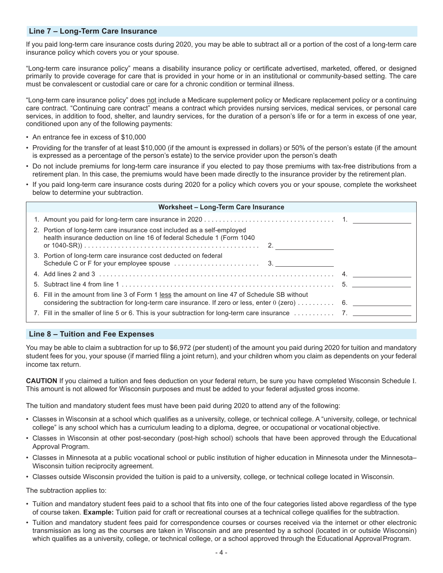#### **Line 7 – Long-Term Care Insurance**

If you paid long-term care insurance costs during 2020, you may be able to subtract all or a portion of the cost of a long-term care insurance policy which covers you or your spouse.

"Long-term care insurance policy" means a disability insurance policy or certificate advertised, marketed, offered, or designed primarily to provide coverage for care that is provided in your home or in an institutional or community-based setting. The care must be convalescent or custodial care or care for a chronic condition or terminal illness.

"Long-term care insurance policy" does not include a Medicare supplement policy or Medicare replacement policy or a continuing care contract. "Continuing care contract" means a contract which provides nursing services, medical services, or personal care services, in addition to food, shelter, and laundry services, for the duration of a person's life or for a term in excess of one year, conditioned upon any of the following payments:

- An entrance fee in excess of \$10,000
- Providing for the transfer of at least \$10,000 (if the amount is expressed in dollars) or 50% of the person's estate (if the amount is expressed as a percentage of the person's estate) to the service provider upon the person's death
- Do not include premiums for long-term care insurance if you elected to pay those premiums with tax-free distributions from a retirement plan. In this case, the premiums would have been made directly to the insurance provider by the retirement plan.
- If you paid long-term care insurance costs during 2020 for a policy which covers you or your spouse, complete the worksheet below to determine your subtraction.

| <b>Worksheet - Long-Term Care Insurance</b>                                                                                                                                                      |  |  |
|--------------------------------------------------------------------------------------------------------------------------------------------------------------------------------------------------|--|--|
|                                                                                                                                                                                                  |  |  |
| 2. Portion of long-term care insurance cost included as a self-employed<br>health insurance deduction on line 16 of federal Schedule 1 (Form 1040                                                |  |  |
| 3. Portion of long-term care insurance cost deducted on federal                                                                                                                                  |  |  |
|                                                                                                                                                                                                  |  |  |
|                                                                                                                                                                                                  |  |  |
| 6. Fill in the amount from line 3 of Form 1 less the amount on line 47 of Schedule SB without<br>considering the subtraction for long-term care insurance. If zero or less, enter $0$ (zero)  6. |  |  |
|                                                                                                                                                                                                  |  |  |

#### **Line 8 – Tuition and Fee Expenses**

You may be able to claim a subtraction for up to \$6,972 (per student) of the amount you paid during 2020 for tuition and mandatory student fees for you, your spouse (if married filing a joint return), and your children whom you claim as dependents on your federal income tax return.

**CAUTION** If you claimed a tuition and fees deduction on your federal return, be sure you have completed Wisconsin Schedule I. This amount is not allowed for Wisconsin purposes and must be added to your federal adjusted gross income.

The tuition and mandatory student fees must have been paid during 2020 to attend any of the following:

- Classes in Wisconsin at a school which qualifies as a university, college, or technical college. A "university, college, or technical college" is any school which has a curriculum leading to a diploma, degree, or occupational or vocational objective.
- Classes in Wisconsin at other post-secondary (post-high school) schools that have been approved through the Educational Approval Program.
- Classes in Minnesota at a public vocational school or public institution of higher education in Minnesota under the Minnesota– Wisconsin tuition reciprocity agreement.
- Classes outside Wisconsin provided the tuition is paid to a university, college, or technical college located in Wisconsin.

The subtraction applies to:

- Tuition and mandatory student fees paid to a school that fits into one of the four categories listed above regardless of the type of course taken. **Example:** Tuition paid for craft or recreational courses at a technical college qualifies for the subtraction.
- Tuition and mandatory student fees paid for correspondence courses or courses received via the internet or other electronic transmission as long as the courses are taken in Wisconsin and are presented by a school (located in or outside Wisconsin) which qualifies as a university, college, or technical college, or a school approved through the Educational Approval Program.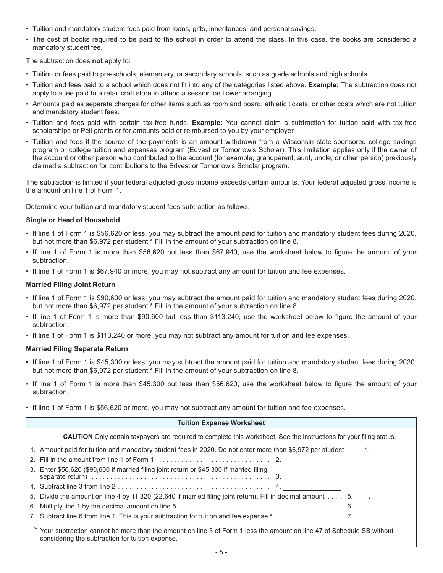- Tuition and mandatory student fees paid from loans, gifts, inheritances, and personal savings.
- The cost of books required to be paid to the school in order to attend the class. In this case, the books are considered a mandatory student fee.

The subtraction does **not** apply to:

- Tuition or fees paid to pre-schools, elementary, or secondary schools, such as grade schools and high schools.
- Tuition and fees paid to a school which does not fit into any of the categories listed above. **Example:** The subtraction does not apply to a fee paid to a retail craft store to attend a session on flower arranging.
- Amounts paid as separate charges for other items such as room and board, athletic tickets, or other costs which are not tuition and mandatory student fees.
- Tuition and fees paid with certain tax-free funds. **Example:** You cannot claim a subtraction for tuition paid with tax-free scholarships or Pell grants or for amounts paid or reimbursed to you by your employer.
- Tuition and fees if the source of the payments is an amount withdrawn from a Wisconsin state-sponsored college savings program or college tuition and expenses program (Edvest or Tomorrow's Scholar). This limitation applies only if the owner of the account or other person who contributed to the account (for example, grandparent, aunt, uncle, or other person) previously claimed a subtraction for contributions to the Edvest or Tomorrow's Scholar program.

The subtraction is limited if your federal adjusted gross income exceeds certain amounts. Your federal adjusted gross income is the amount on line 1 of Form 1.

Determine your tuition and mandatory student fees subtraction as follows:

#### **Single or Head of Household**

- If line 1 of Form 1 is \$56,620 or less, you may subtract the amount paid for tuition and mandatory student fees during 2020, but not more than \$6,972 per student.**\*** Fill in the amount of your subtraction on line 8.
- If line 1 of Form 1 is more than \$56,620 but less than \$67,940, use the worksheet below to figure the amount of your subtraction.
- If line 1 of Form 1 is \$67,940 or more, you may not subtract any amount for tuition and fee expenses.

#### **Married Filing Joint Return**

- If line 1 of Form 1 is \$90,600 or less, you may subtract the amount paid for tuition and mandatory student fees during 2020, but not more than \$6,972 per student.**\*** Fill in the amount of your subtraction on line 8.
- If line 1 of Form 1 is more than \$90,600 but less than \$113,240, use the worksheet below to figure the amount of your subtraction.
- If line 1 of Form 1 is \$113,240 or more, you may not subtract any amount for tuition and fee expenses.

#### **Married Filing Separate Return**

- **•** If line 1 of Form 1 is \$45,300 or less, you may subtract the amount paid for tuition and mandatory student fees during 2020, but not more than \$6,972 per student.**\*** Fill in the amount of your subtraction on line 8.
- If line 1 of Form 1 is more than \$45,300 but less than \$56,620, use the worksheet below to figure the amount of your subtraction.
- If line 1 of Form 1 is \$56,620 or more, you may not subtract any amount for tuition and fee expenses.

| <b>Tuition Expense Worksheet</b>                                                                                                                                            |           |
|-----------------------------------------------------------------------------------------------------------------------------------------------------------------------------|-----------|
| <b>CAUTION</b> Only certain taxpayers are required to complete this worksheet. See the instructions for your filing status.                                                 |           |
| 1. Amount paid for tuition and mandatory student fees in 2020. Do not enter more than \$6,972 per student                                                                   | $\sim$ 1. |
|                                                                                                                                                                             |           |
| 3. Enter \$56,620 (\$90,600 if married filing joint return or \$45,300 if married filing                                                                                    |           |
|                                                                                                                                                                             |           |
| 5. Divide the amount on line 4 by 11,320 (22,640 if married filing joint return). Fill in decimal amount $\dots$ 5. $\qquad \cdot$                                          |           |
| 6. Multiply line 1 by the decimal amount on line 5 $\dots\dots\dots\dots\dots\dots\dots\dots\dots\dots\dots\dots\dots\dots\dots\dots\dots$ 6.                               |           |
| 7. Subtract line 6 from line 1. This is your subtraction for tuition and fee expense $*$ 7.                                                                                 |           |
| * Your subtraction cannot be more than the amount on line 3 of Form 1 less the amount on line 47 of Schedule SB without<br>considering the subtraction for tuition expense. |           |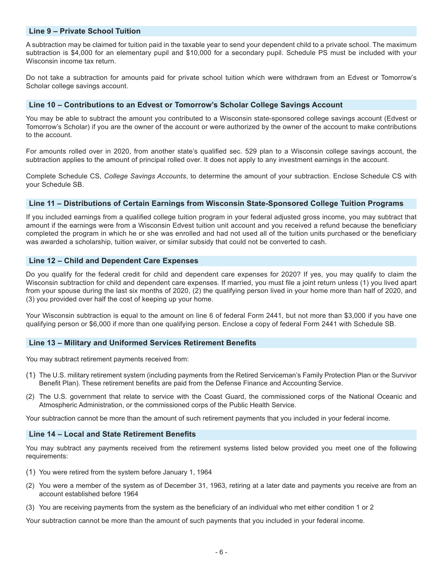#### **Line 9 – Private School Tuition**

A subtraction may be claimed for tuition paid in the taxable year to send your dependent child to a private school. The maximum subtraction is \$4,000 for an elementary pupil and \$10,000 for a secondary pupil. Schedule PS must be included with your Wisconsin income tax return.

Do not take a subtraction for amounts paid for private school tuition which were withdrawn from an Edvest or Tomorrow's Scholar college savings account.

#### **Line 10 – Contributions to an Edvest or Tomorrow's Scholar College Savings Account**

You may be able to subtract the amount you contributed to a Wisconsin state-sponsored college savings account (Edvest or Tomorrow's Scholar) if you are the owner of the account or were authorized by the owner of the account to make contributions to the account.

For amounts rolled over in 2020, from another state's qualified sec. 529 plan to a Wisconsin college savings account, the subtraction applies to the amount of principal rolled over. It does not apply to any investment earnings in the account.

Complete Schedule CS, *College Savings Accounts*, to determine the amount of your subtraction. Enclose Schedule CS with your Schedule SB.

#### **Line 11 – Distributions of Certain Earnings from Wisconsin State-Sponsored College Tuition Programs**

If you included earnings from a qualified college tuition program in your federal adjusted gross income, you may subtract that amount if the earnings were from a Wisconsin Edvest tuition unit account and you received a refund because the beneficiary completed the program in which he or she was enrolled and had not used all of the tuition units purchased or the beneficiary was awarded a scholarship, tuition waiver, or similar subsidy that could not be converted to cash.

#### **Line 12 – Child and Dependent Care Expenses**

Do you qualify for the federal credit for child and dependent care expenses for 2020? If yes, you may qualify to claim the Wisconsin subtraction for child and dependent care expenses. If married, you must file a joint return unless (1) you lived apart from your spouse during the last six months of 2020, (2) the qualifying person lived in your home more than half of 2020, and (3) you provided over half the cost of keeping up your home.

Your Wisconsin subtraction is equal to the amount on line 6 of federal Form 2441, but not more than \$3,000 if you have one qualifying person or \$6,000 if more than one qualifying person. Enclose a copy of federal Form 2441 with Schedule SB.

#### **Line 13 – Military and Uniformed Services Retirement Benefits**

You may subtract retirement payments received from:

- (1) The U.S. military retirement system (including payments from the Retired Serviceman's Family Protection Plan or the Survivor Benefit Plan). These retirement benefits are paid from the Defense Finance and Accounting Service.
- (2) The U.S. government that relate to service with the Coast Guard, the commissioned corps of the National Oceanic and Atmospheric Administration, or the commissioned corps of the Public Health Service.

Your subtraction cannot be more than the amount of such retirement payments that you included in your federal income.

#### **Line 14 – Local and State Retirement Benefits**

You may subtract any payments received from the retirement systems listed below provided you meet one of the following requirements:

- (1) You were retired from the system before January 1, 1964
- (2) You were a member of the system as of December 31, 1963, retiring at a later date and payments you receive are from an account established before 1964
- (3) You are receiving payments from the system as the beneficiary of an individual who met either condition 1 or 2

Your subtraction cannot be more than the amount of such payments that you included in your federal income.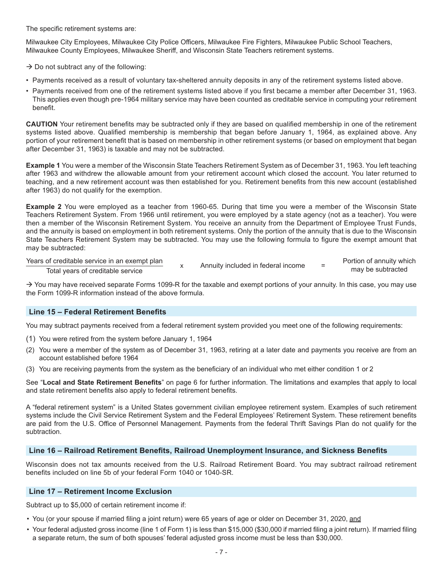The specific retirement systems are:

Milwaukee City Employees, Milwaukee City Police Officers, Milwaukee Fire Fighters, Milwaukee Public School Teachers, Milwaukee County Employees, Milwaukee Sheriff, and Wisconsin State Teachers retirement systems.

 $\rightarrow$  Do not subtract any of the following:

- Payments received as a result of voluntary tax-sheltered annuity deposits in any of the retirement systems listed above.
- Payments received from one of the retirement systems listed above if you first became a member after December 31, 1963. This applies even though pre-1964 military service may have been counted as creditable service in computing your retirement benefit.

**CAUTION** Your retirement benefits may be subtracted only if they are based on qualified membership in one of the retirement systems listed above. Qualified membership is membership that began before January 1, 1964, as explained above. Any portion of your retirement benefit that is based on membership in other retirement systems (or based on employment that began after December 31, 1963) is taxable and may not be subtracted.

**Example 1** You were a member of the Wisconsin State Teachers Retirement System as of December 31, 1963. You left teaching after 1963 and withdrew the allowable amount from your retirement account which closed the account. You later returned to teaching, and a new retirement account was then established for you. Retirement benefits from this new account (established after 1963) do not qualify for the exemption.

**Example 2** You were employed as a teacher from 1960-65. During that time you were a member of the Wisconsin State Teachers Retirement System. From 1966 until retirement, you were employed by a state agency (not as a teacher). You were then a member of the Wisconsin Retirement System. You receive an annuity from the Department of Employee Trust Funds, and the annuity is based on employment in both retirement systems. Only the portion of the annuity that is due to the Wisconsin State Teachers Retirement System may be subtracted. You may use the following formula to figure the exempt amount that may be subtracted:

#### Years of creditable service in an exempt plan

x Annuity included in federal income = Portion of annuity which

may be subtracted

Total years of creditable service

 $\rightarrow$  You may have received separate Forms 1099-R for the taxable and exempt portions of your annuity. In this case, you may use the Form 1099-R information instead of the above formula.

### **Line 15 – Federal Retirement Benefits**

You may subtract payments received from a federal retirement system provided you meet one of the following requirements:

- (1) You were retired from the system before January 1, 1964
- (2) You were a member of the system as of December 31, 1963, retiring at a later date and payments you receive are from an account established before 1964
- (3) You are receiving payments from the system as the beneficiary of an individual who met either condition 1 or 2

See "**Local and State Retirement Benefits**" on page 6 for further information. The limitations and examples that apply to local and state retirement benefits also apply to federal retirement benefits.

A "federal retirement system" is a United States government civilian employee retirement system. Examples of such retirement systems include the Civil Service Retirement System and the Federal Employees' Retirement System. These retirement benefits are paid from the U.S. Office of Personnel Management. Payments from the federal Thrift Savings Plan do not qualify for the subtraction.

#### **Line 16 – Railroad Retirement Benefits, Railroad Unemployment Insurance, and Sickness Benefits**

Wisconsin does not tax amounts received from the U.S. Railroad Retirement Board. You may subtract railroad retirement benefits included on line 5b of your federal Form 1040 or 1040-SR.

#### **Line 17 – Retirement Income Exclusion**

Subtract up to \$5,000 of certain retirement income if:

- You (or your spouse if married filing a joint return) were 65 years of age or older on December 31, 2020, and
- Your federal adjusted gross income (line 1 of Form 1) is less than \$15,000 (\$30,000 if married filing a joint return). If married filing a separate return, the sum of both spouses' federal adjusted gross income must be less than \$30,000.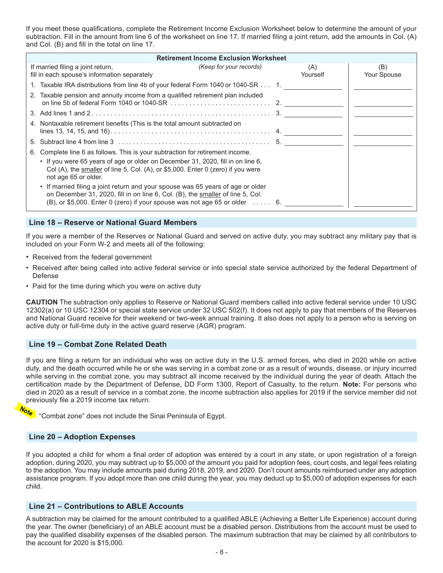If you meet these qualifications, complete the Retirement Income Exclusion Worksheet below to determine the amount of your subtraction. Fill in the amount from line 6 of the worksheet on line 17. If married filing a joint return, add the amounts in Col. (A) and Col. (B) and fill in the total on line 17.

| <b>Retirement Income Exclusion Worksheet</b>                                                                                                                                                                                                    |                 |                    |
|-------------------------------------------------------------------------------------------------------------------------------------------------------------------------------------------------------------------------------------------------|-----------------|--------------------|
| If married filing a joint return,<br>(Keep for your records)<br>fill in each spouse's information separately                                                                                                                                    | (A)<br>Yourself | (B)<br>Your Spouse |
| 1. Taxable IRA distributions from line 4b of your federal Form 1040 or 1040-SR 1.                                                                                                                                                               |                 |                    |
| 2. Taxable pension and annuity income from a qualified retirement plan included                                                                                                                                                                 |                 |                    |
|                                                                                                                                                                                                                                                 |                 |                    |
| 4. Nontaxable retirement benefits (This is the total amount subtracted on                                                                                                                                                                       |                 |                    |
|                                                                                                                                                                                                                                                 |                 |                    |
| Complete line 6 as follows. This is your subtraction for retirement income.<br>6.                                                                                                                                                               |                 |                    |
| • If you were 65 years of age or older on December 31, 2020, fill in on line 6,<br>Col (A), the smaller of line 5, Col. (A), or \$5,000. Enter 0 (zero) if you were<br>not age 65 or older.                                                     |                 |                    |
| • If married filing a joint return and your spouse was 65 years of age or older<br>on December 31, 2020, fill in on line 6, Col. (B), the smaller of line 5, Col.<br>(B), or \$5,000. Enter 0 (zero) if your spouse was not age 65 or older  6. |                 |                    |

#### **Line 18 – Reserve or National Guard Members**

If you were a member of the Reserves or National Guard and served on active duty, you may subtract any military pay that is included on your Form W-2 and meets all of the following:

- Received from the federal government
- Received after being called into active federal service or into special state service authorized by the federal Department of Defense
- Paid for the time during which you were on active duty

**CAUTION** The subtraction only applies to Reserve or National Guard members called into active federal service under 10 USC 12302(a) or 10 USC 12304 or special state service under 32 USC 502(f). It does not apply to pay that members of the Reserves and National Guard receive for their weekend or two-week annual training. It also does not apply to a person who is serving on active duty or full-time duty in the active guard reserve (AGR) program.

#### **Line 19 – Combat Zone Related Death**

If you are filing a return for an individual who was on active duty in the U.S. armed forces, who died in 2020 while on active duty, and the death occurred while he or she was serving in a combat zone or as a result of wounds, disease, or injury incurred while serving in the combat zone, you may subtract all income received by the individual during the year of death. Attach the certification made by the Department of Defense, DD Form 1300, Report of Casualty, to the return. **Note:** For persons who died in 2020 as a result of service in a combat zone, the income subtraction also applies for 2019 if the service member did not previously file a 2019 income tax return.

Note

**Combat zone" does not include the Sinai Peninsula of Egypt.** 

#### **Line 20 – Adoption Expenses**

If you adopted a child for whom a final order of adoption was entered by a court in any state, or upon registration of a foreign adoption, during 2020, you may subtract up to \$5,000 of the amount you paid for adoption fees, court costs, and legal fees relating to the adoption. You may include amounts paid during 2018, 2019, and 2020. Don't count amounts reimbursed under any adoption assistance program. If you adopt more than one child during the year, you may deduct up to \$5,000 of adoption expenses for each child.

#### **Line 21 – Contributions to ABLE Accounts**

A subtraction may be claimed for the amount contributed to a qualified ABLE (Achieving a Better Life Experience) account during the year. The owner (beneficiary) of an ABLE account must be a disabled person. Distributions from the account must be used to pay the qualified disability expenses of the disabled person. The maximum subtraction that may be claimed by all contributors to the account for 2020 is \$15,000.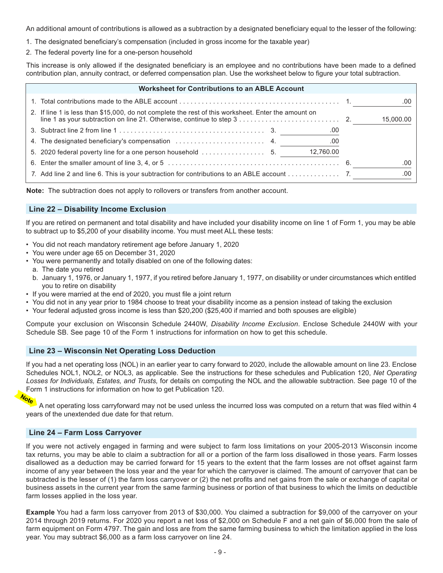An additional amount of contributions is allowed as a subtraction by a designated beneficiary equal to the lesser of the following:

- 1. The designated beneficiary's compensation (included in gross income for the taxable year)
- 2. The federal poverty line for a one-person household

This increase is only allowed if the designated beneficiary is an employee and no contributions have been made to a defined contribution plan, annuity contract, or deferred compensation plan. Use the worksheet below to figure your total subtraction.

| <b>Worksheet for Contributions to an ABLE Account</b>                                               |           |
|-----------------------------------------------------------------------------------------------------|-----------|
|                                                                                                     | .00       |
| 2. If line 1 is less than \$15,000, do not complete the rest of this worksheet. Enter the amount on | 15,000.00 |
| .00                                                                                                 |           |
| 00                                                                                                  |           |
| 12,760.00                                                                                           |           |
|                                                                                                     | .00       |
| 7. Add line 2 and line 6. This is your subtraction for contributions to an ABLE account 7.          | .00       |

**Note:** The subtraction does not apply to rollovers or transfers from another account.

#### **Line 22 – Disability Income Exclusion**

If you are retired on permanent and total disability and have included your disability income on line 1 of Form 1, you may be able to subtract up to \$5,200 of your disability income. You must meet ALL these tests:

- You did not reach mandatory retirement age before January 1, 2020
- You were under age 65 on December 31, 2020
- You were permanently and totally disabled on one of the following dates:
- a. The date you retired
- b. January 1, 1976, or January 1, 1977, if you retired before January 1, 1977, on disability or under circumstances which entitled you to retire on disability
- If you were married at the end of 2020, you must file a joint return
- You did not in any year prior to 1984 choose to treat your disability income as a pension instead of taking the exclusion
- Your federal adjusted gross income is less than \$20,200 (\$25,400 if married and both spouses are eligible)

Compute your exclusion on Wisconsin Schedule 2440W, *Disability Income Exclusion*. Enclose Schedule 2440W with your Schedule SB. See page 10 of the Form 1 instructions for information on how to get this schedule.

#### **Line 23 – Wisconsin Net Operating Loss Deduction**

If you had a net operating loss (NOL) in an earlier year to carry forward to 2020, include the allowable amount on line 23. Enclose Schedules NOL1, NOL2, or NOL3, as applicable. See the instructions for these schedules and Publication 120, *Net Operating Losses for Individuals, Estates, and Trusts,* for details on computing the NOL and the allowable subtraction. See page 10 of the Form 1 instructions for information on how to get Publication 120.



A net operating loss carryforward may not be used unless the incurred loss was computed on a return that was filed within 4 years of the unextended due date for that return.

#### **Line 24 – Farm Loss Carryover**

If you were not actively engaged in farming and were subject to farm loss limitations on your 2005-2013 Wisconsin income tax returns, you may be able to claim a subtraction for all or a portion of the farm loss disallowed in those years. Farm losses disallowed as a deduction may be carried forward for 15 years to the extent that the farm losses are not offset against farm income of any year between the loss year and the year for which the carryover is claimed. The amount of carryover that can be subtracted is the lesser of (1) the farm loss carryover or (2) the net profits and net gains from the sale or exchange of capital or business assets in the current year from the same farming business or portion of that business to which the limits on deductible farm losses applied in the loss year.

**Example** You had a farm loss carryover from 2013 of \$30,000. You claimed a subtraction for \$9,000 of the carryover on your 2014 through 2019 returns. For 2020 you report a net loss of \$2,000 on Schedule F and a net gain of \$6,000 from the sale of farm equipment on Form 4797. The gain and loss are from the same farming business to which the limitation applied in the loss year. You may subtract \$6,000 as a farm loss carryover on line 24.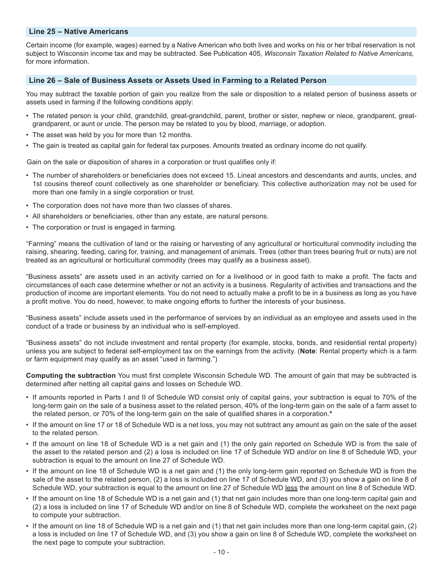#### **Line 25 – Native Americans**

Certain income (for example, wages) earned by a Native American who both lives and works on his or her tribal reservation is not subject to Wisconsin income tax and may be subtracted. See Publication 405, *Wisconsin Taxation Related to Native Americans,* for more information.

#### **Line 26 – Sale of Business Assets or Assets Used in Farming to a Related Person**

You may subtract the taxable portion of gain you realize from the sale or disposition to a related person of business assets or assets used in farming if the following conditions apply:

- The related person is your child, grandchild, great-grandchild, parent, brother or sister, nephew or niece, grandparent, greatgrandparent, or aunt or uncle. The person may be related to you by blood, marriage, or adoption.
- The asset was held by you for more than 12 months.
- The gain is treated as capital gain for federal tax purposes. Amounts treated as ordinary income do not qualify.

Gain on the sale or disposition of shares in a corporation or trust qualifies only if:

- The number of shareholders or beneficiaries does not exceed 15. Lineal ancestors and descendants and aunts, uncles, and 1st cousins thereof count collectively as one shareholder or beneficiary. This collective authorization may not be used for more than one family in a single corporation or trust.
- The corporation does not have more than two classes of shares.
- All shareholders or beneficiaries, other than any estate, are natural persons.
- The corporation or trust is engaged in farming.

"Farming" means the cultivation of land or the raising or harvesting of any agricultural or horticultural commodity including the raising, shearing, feeding, caring for, training, and management of animals. Trees (other than trees bearing fruit or nuts) are not treated as an agricultural or horticultural commodity (trees may qualify as a business asset).

"Business assets" are assets used in an activity carried on for a livelihood or in good faith to make a profit. The facts and circumstances of each case determine whether or not an activity is a business. Regularity of activities and transactions and the production of income are important elements. You do not need to actually make a profit to be in a business as long as you have a profit motive. You do need, however, to make ongoing efforts to further the interests of your business.

"Business assets" include assets used in the performance of services by an individual as an employee and assets used in the conduct of a trade or business by an individual who is self-employed.

"Business assets" do not include investment and rental property (for example, stocks, bonds, and residential rental property) unless you are subject to federal self-employment tax on the earnings from the activity. (**Note**: Rental property which is a farm or farm equipment may qualify as an asset "used in farming.")

**Computing the subtraction** You must first complete Wisconsin Schedule WD. The amount of gain that may be subtracted is determined after netting all capital gains and losses on Schedule WD.

- If amounts reported in Parts I and II of Schedule WD consist only of capital gains, your subtraction is equal to 70% of the long-term gain on the sale of a business asset to the related person, 40% of the long-term gain on the sale of a farm asset to the related person, or 70% of the long-term gain on the sale of qualified shares in a corporation.**\***
- If the amount on line 17 or 18 of Schedule WD is a net loss, you may not subtract any amount as gain on the sale of the asset to the related person.
- If the amount on line 18 of Schedule WD is a net gain and (1) the only gain reported on Schedule WD is from the sale of the asset to the related person and (2) a loss is included on line 17 of Schedule WD and/or on line 8 of Schedule WD, your subtraction is equal to the amount on line 27 of Schedule WD.
- If the amount on line 18 of Schedule WD is a net gain and (1) the only long-term gain reported on Schedule WD is from the sale of the asset to the related person, (2) a loss is included on line 17 of Schedule WD, and (3) you show a gain on line 8 of Schedule WD, your subtraction is equal to the amount on line 27 of Schedule WD less the amount on line 8 of Schedule WD.
- If the amount on line 18 of Schedule WD is a net gain and (1) that net gain includes more than one long-term capital gain and (2) a loss is included on line 17 of Schedule WD and/or on line 8 of Schedule WD, complete the worksheet on the next page to compute your subtraction.
- If the amount on line 18 of Schedule WD is a net gain and (1) that net gain includes more than one long-term capital gain, (2) a loss is included on line 17 of Schedule WD, and (3) you show a gain on line 8 of Schedule WD, complete the worksheet on the next page to compute your subtraction.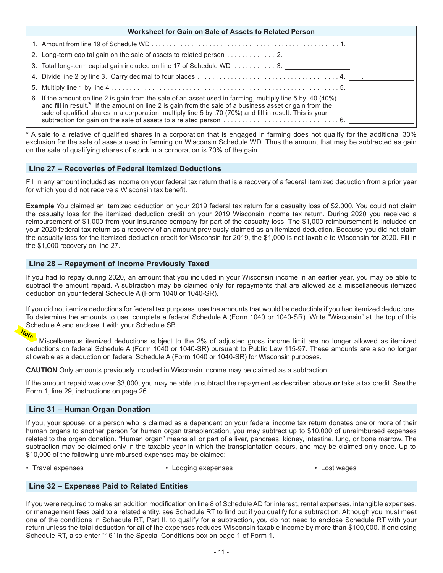| Worksheet for Gain on Sale of Assets to Related Person                                                                                                                                                                                                                                                                            |  |
|-----------------------------------------------------------------------------------------------------------------------------------------------------------------------------------------------------------------------------------------------------------------------------------------------------------------------------------|--|
|                                                                                                                                                                                                                                                                                                                                   |  |
|                                                                                                                                                                                                                                                                                                                                   |  |
|                                                                                                                                                                                                                                                                                                                                   |  |
|                                                                                                                                                                                                                                                                                                                                   |  |
|                                                                                                                                                                                                                                                                                                                                   |  |
| 6. If the amount on line 2 is gain from the sale of an asset used in farming, multiply line 5 by .40 (40%)<br>and fill in result.* If the amount on line 2 is gain from the sale of a business asset or gain from the<br>sale of qualified shares in a corporation, multiply line 5 by .70 (70%) and fill in result. This is your |  |

\* A sale to a relative of qualified shares in a corporation that is engaged in farming does not qualify for the additional 30% exclusion for the sale of assets used in farming on Wisconsin Schedule WD. Thus the amount that may be subtracted as gain on the sale of qualifying shares of stock in a corporation is 70% of the gain.

#### **Line 27 – Recoveries of Federal Itemized Deductions**

Fill in any amount included as income on your federal tax return that is a recovery of a federal itemized deduction from a prior year for which you did not receive a Wisconsin tax benefit.

**Example** You claimed an itemized deduction on your 2019 federal tax return for a casualty loss of \$2,000. You could not claim the casualty loss for the itemized deduction credit on your 2019 Wisconsin income tax return. During 2020 you received a reimbursement of \$1,000 from your insurance company for part of the casualty loss. The \$1,000 reimbursement is included on your 2020 federal tax return as a recovery of an amount previously claimed as an itemized deduction. Because you did not claim the casualty loss for the itemized deduction credit for Wisconsin for 2019, the \$1,000 is not taxable to Wisconsin for 2020. Fill in the \$1,000 recovery on line 27.

#### **Line 28 – Repayment of Income Previously Taxed**

If you had to repay during 2020, an amount that you included in your Wisconsin income in an earlier year, you may be able to subtract the amount repaid. A subtraction may be claimed only for repayments that are allowed as a miscellaneous itemized deduction on your federal Schedule A (Form 1040 or 1040-SR).

If you did not itemize deductions for federal tax purposes, use the amounts that would be deductible if you had itemized deductions. To determine the amounts to use, complete a federal Schedule A (Form 1040 or 1040-SR). Write "Wisconsin" at the top of this Schedule A and enclose it with your Schedule SB.

Miscellaneous itemized deductions subject to the 2% of adjusted gross income limit are no longer allowed as itemized deductions on federal Schedule A (Form 1040 or 1040-SR) pursuant to Public Law 115-97. These amounts are also no longer allowable as a deduction on federal Schedule A (Form 1040 or 1040-SR) for Wisconsin purposes.

**CAUTION** Only amounts previously included in Wisconsin income may be claimed as a subtraction.

If the amount repaid was over \$3,000, you may be able to subtract the repayment as described above *or* take a tax credit. See the Form 1, line 29, instructions on page 26.

#### **Line 31 – Human Organ Donation**

If you, your spouse, or a person who is claimed as a dependent on your federal income tax return donates one or more of their human organs to another person for human organ transplantation, you may subtract up to \$10,000 of unreimbursed expenses related to the organ donation. "Human organ" means all or part of a liver, pancreas, kidney, intestine, lung, or bone marrow. The subtraction may be claimed only in the taxable year in which the transplantation occurs, and may be claimed only once. Up to \$10,000 of the following unreimbursed expenses may be claimed:

- Travel expenses Lodging exepenses Lost wages
- 

#### **Line 32 – Expenses Paid to Related Entities**

If you were required to make an addition modification on line 8 of Schedule AD for interest, rental expenses, intangible expenses, or management fees paid to a related entity, see Schedule RT to find out if you qualify for a subtraction. Although you must meet one of the conditions in Schedule RT, Part II, to qualify for a subtraction, you do not need to enclose Schedule RT with your return unless the total deduction for all of the expenses reduces Wisconsin taxable income by more than \$100,000. If enclosing Schedule RT, also enter "16" in the Special Conditions box on page 1 of Form 1.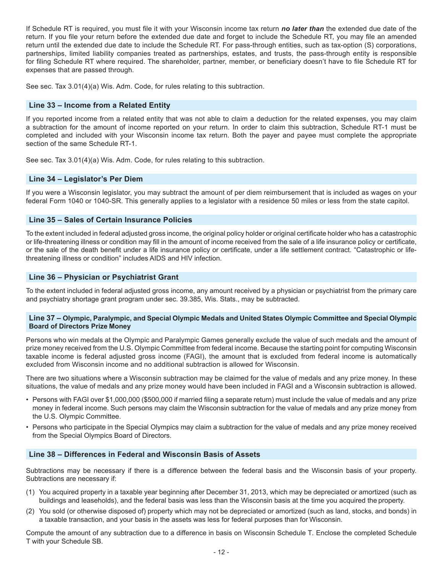If Schedule RT is required, you must file it with your Wisconsin income tax return *no later than* the extended due date of the return. If you file your return before the extended due date and forget to include the Schedule RT, you may file an amended return until the extended due date to include the Schedule RT. For pass-through entities, such as tax-option (S) corporations, partnerships, limited liability companies treated as partnerships, estates, and trusts, the pass-through entity is responsible for filing Schedule RT where required. The shareholder, partner, member, or beneficiary doesn't have to file Schedule RT for expenses that are passed through.

See sec. Tax 3.01(4)(a) Wis. Adm. Code, for rules relating to this subtraction.

#### **Line 33 – Income from a Related Entity**

If you reported income from a related entity that was not able to claim a deduction for the related expenses, you may claim a subtraction for the amount of income reported on your return. In order to claim this subtraction, Schedule RT-1 must be completed and included with your Wisconsin income tax return. Both the payer and payee must complete the appropriate section of the same Schedule RT-1.

See sec. Tax 3.01(4)(a) Wis. Adm. Code, for rules relating to this subtraction.

#### **Line 34 – Legislator's Per Diem**

If you were a Wisconsin legislator, you may subtract the amount of per diem reimbursement that is included as wages on your federal Form 1040 or 1040-SR. This generally applies to a legislator with a residence 50 miles or less from the state capitol.

#### **Line 35 – Sales of Certain Insurance Policies**

To the extent included in federal adjusted gross income, the original policy holder or original certificate holder who has a catastrophic or life-threatening illness or condition may fill in the amount of income received from the sale of a life insurance policy or certificate, or the sale of the death benefit under a life insurance policy or certificate, under a life settlement contract. "Catastrophic or lifethreatening illness or condition" includes AIDS and HIV infection.

#### **Line 36 – Physician or Psychiatrist Grant**

To the extent included in federal adjusted gross income, any amount received by a physician or psychiatrist from the primary care and psychiatry shortage grant program under sec. 39.385, Wis. Stats., may be subtracted.

#### **Line 37 – Olympic, Paralympic, and Special Olympic Medals and United States Olympic Committee and Special Olympic Board of Directors Prize Money**

Persons who win medals at the Olympic and Paralympic Games generally exclude the value of such medals and the amount of prize money received from the U.S. Olympic Committee from federal income. Because the starting point for computing Wisconsin taxable income is federal adjusted gross income (FAGI), the amount that is excluded from federal income is automatically excluded from Wisconsin income and no additional subtraction is allowed for Wisconsin.

There are two situations where a Wisconsin subtraction may be claimed for the value of medals and any prize money. In these situations, the value of medals and any prize money would have been included in FAGI and a Wisconsin subtraction is allowed.

- Persons with FAGI over \$1,000,000 (\$500,000 if married filing a separate return) must include the value of medals and any prize money in federal income. Such persons may claim the Wisconsin subtraction for the value of medals and any prize money from the U.S. Olympic Committee.
- Persons who participate in the Special Olympics may claim a subtraction for the value of medals and any prize money received from the Special Olympics Board of Directors.

#### **Line 38 – Differences in Federal and Wisconsin Basis of Assets**

Subtractions may be necessary if there is a difference between the federal basis and the Wisconsin basis of your property. Subtractions are necessary if:

- (1) You acquired property in a taxable year beginning after December 31, 2013, which may be depreciated or amortized (such as buildings and leaseholds), and the federal basis was less than the Wisconsin basis at the time you acquired the property.
- (2) You sold (or otherwise disposed of) property which may not be depreciated or amortized (such as land, stocks, and bonds) in a taxable transaction, and your basis in the assets was less for federal purposes than for Wisconsin.

Compute the amount of any subtraction due to a difference in basis on Wisconsin Schedule T*.* Enclose the completed Schedule T with your Schedule SB.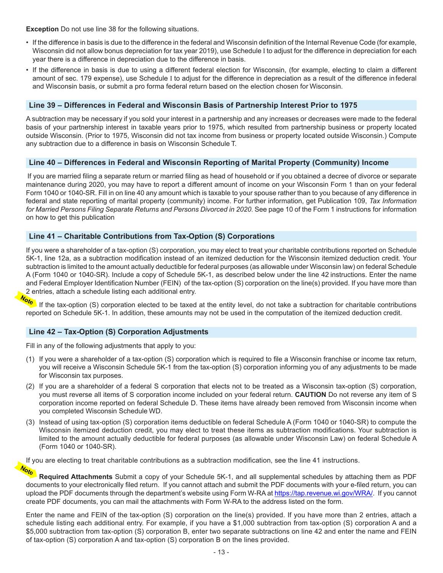**Exception** Do not use line 38 for the following situations.

- If the difference in basis is due to the difference in the federal and Wisconsin definition of the Internal Revenue Code (for example, Wisconsin did not allow bonus depreciation for tax year 2019), use Schedule I to adjust for the difference in depreciation for each year there is a difference in depreciation due to the difference in basis.
- If the difference in basis is due to using a different federal election for Wisconsin, (for example, electing to claim a different amount of sec. 179 expense), use Schedule I to adjust for the difference in depreciation as a result of the difference in federal and Wisconsin basis, or submit a pro forma federal return based on the election chosen for Wisconsin.

#### **Line 39 – Differences in Federal and Wisconsin Basis of Partnership Interest Prior to 1975**

A subtraction may be necessary if you sold your interest in a partnership and any increases or decreases were made to the federal basis of your partnership interest in taxable years prior to 1975, which resulted from partnership business or property located outside Wisconsin. (Prior to 1975, Wisconsin did not tax income from business or property located outside Wisconsin.) Compute any subtraction due to a difference in basis on Wisconsin Schedule T.

#### **Line 40 – Differences in Federal and Wisconsin Reporting of Marital Property (Community) Income**

If you are married filing a separate return or married filing as head of household or if you obtained a decree of divorce or separate maintenance during 2020, you may have to report a different amount of income on your Wisconsin Form 1 than on your federal Form 1040 or 1040-SR. Fill in on line 40 any amount which is taxable to your spouse rather than to you because of any difference in federal and state reporting of marital property (community) income. For further information, get Publication 109, *Tax Information for Married Persons Filing Separate Returns and Persons Divorced in 2020*. See page 10 of the Form 1 instructions for information on how to get this publication

#### **Line 41 – Charitable Contributions from Tax-Option (S) Corporations**

If you were a shareholder of a tax-option (S) corporation, you may elect to treat your charitable contributions reported on Schedule 5K-1, line 12a, as a subtraction modification instead of an itemized deduction for the Wisconsin itemized deduction credit. Your subtraction is limited to the amount actually deductible for federal purposes (as allowable under Wisconsin law) on federal Schedule A (Form 1040 or 1040-SR). Include a copy of Schedule 5K-1, as described below under the line 42 instructions. Enter the name and Federal Employer Identification Number (FEIN) of the tax-option (S) corporation on the line(s) provided. If you have more than 2 entries, attach a schedule listing each additional entry.

If the tax-option (S) corporation elected to be taxed at the entity level, do not take a subtraction for charitable contributions reported on Schedule 5K-1. In addition, these amounts may not be used in the computation of the itemized deduction credit.

#### **Line 42 – Tax-Option (S) Corporation Adjustments**

Fill in any of the following adjustments that apply to you:

- (1) If you were a shareholder of a tax-option (S) corporation which is required to file a Wisconsin franchise or income tax return, you will receive a Wisconsin Schedule 5K-1 from the tax-option (S) corporation informing you of any adjustments to be made for Wisconsin tax purposes.
- (2) If you are a shareholder of a federal S corporation that elects not to be treated as a Wisconsin tax-option (S) corporation, you must reverse all items of S corporation income included on your federal return. **CAUTION** Do not reverse any item of S corporation income reported on federal Schedule D. These items have already been removed from Wisconsin income when you completed Wisconsin Schedule WD.
- (3) Instead of using tax-option (S) corporation items deductible on federal Schedule A (Form 1040 or 1040-SR) to compute the Wisconsin itemized deduction credit, you may elect to treat these items as subtraction modifications. Your subtraction is limited to the amount actually deductible for federal purposes (as allowable under Wisconsin Law) on federal Schedule A (Form 1040 or 1040-SR).

If you are electing to treat charitable contributions as a subtraction modification, see the line 41 instructions.

**Required Attachments** Submit a copy of your Schedule 5K-1, and all supplemental schedules by attaching them as PDF documents to your electronically filed return. If you cannot attach and submit the PDF documents with your e-filed return, you can upload the PDF documents through the department's website using Form W-RA at <https://tap.revenue.wi.gov/WRA/>. If you cannot create PDF documents, you can mail the attachments with Form W-RA to the address listed on the form.

Enter the name and FEIN of the tax-option (S) corporation on the line(s) provided. If you have more than 2 entries, attach a schedule listing each additional entry. For example, if you have a \$1,000 subtraction from tax-option (S) corporation A and a \$5,000 subtraction from tax-option (S) corporation B, enter two separate subtractions on line 42 and enter the name and FEIN of tax-option (S) corporation A and tax-option (S) corporation B on the lines provided.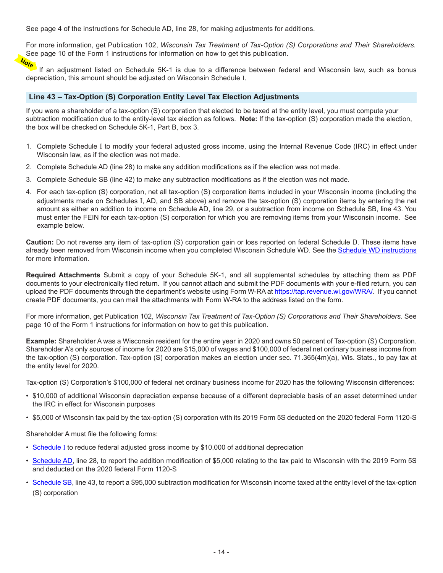See page 4 of the instructions for Schedule AD, line 28, for making adjustments for additions.

For more information, get Publication 102, *Wisconsin Tax Treatment of Tax-Option (S) Corporations and Their Shareholders*. See page 10 of the Form 1 instructions for information on how to get this publication.

If an adjustment listed on Schedule 5K-1 is due to a difference between federal and Wisconsin law, such as bonus depreciation, this amount should be adjusted on Wisconsin Schedule I.

#### **Line 43 – Tax-Option (S) Corporation Entity Level Tax Election Adjustments**

If you were a shareholder of a tax-option (S) corporation that elected to be taxed at the entity level, you must compute your subtraction modification due to the entity-level tax election as follows. **Note:** If the tax-option (S) corporation made the election, the box will be checked on Schedule 5K-1, Part B, box 3.

- 1. Complete Schedule I to modify your federal adjusted gross income, using the Internal Revenue Code (IRC) in effect under Wisconsin law, as if the election was not made.
- 2. Complete Schedule AD (line 28) to make any addition modifications as if the election was not made.
- 3. Complete Schedule SB (line 42) to make any subtraction modifications as if the election was not made.
- 4. For each tax-option (S) corporation, net all tax-option (S) corporation items included in your Wisconsin income (including the adjustments made on Schedules I, AD, and SB above) and remove the tax-option (S) corporation items by entering the net amount as either an addition to income on Schedule AD, line 29, or a subtraction from income on Schedule SB, line 43. You must enter the FEIN for each tax-option (S) corporation for which you are removing items from your Wisconsin income. See example below.

**Caution:** Do not reverse any item of tax-option (S) corporation gain or loss reported on federal Schedule D. These items have already been removed from Wisconsin income when you completed Wisconsin Schedule WD. See the [Schedule WD instructions](https://www.revenue.wi.gov/TaxForms2020/2020-ScheduleWD-inst.pdf) for more information.

**Required Attachments** Submit a copy of your Schedule 5K-1, and all supplemental schedules by attaching them as PDF documents to your electronically filed return. If you cannot attach and submit the PDF documents with your e-filed return, you can upload the PDF documents through the department's website using Form W-RA at<https://tap.revenue.wi.gov/WRA/>. If you cannot create PDF documents, you can mail the attachments with Form W-RA to the address listed on the form.

For more information, get Publication 102, *Wisconsin Tax Treatment of Tax-Option (S) Corporations and Their Shareholders*. See page 10 of the Form 1 instructions for information on how to get this publication.

**Example:** Shareholder A was a Wisconsin resident for the entire year in 2020 and owns 50 percent of Tax-option (S) Corporation. Shareholder A's only sources of income for 2020 are \$15,000 of wages and \$100,000 of federal net ordinary business income from the tax-option (S) corporation. Tax-option (S) corporation makes an election under sec. 71.365(4m)(a), Wis. Stats., to pay tax at the entity level for 2020.

Tax-option (S) Corporation's \$100,000 of federal net ordinary business income for 2020 has the following Wisconsin differences:

- \$10,000 of additional Wisconsin depreciation expense because of a different depreciable basis of an asset determined under the IRC in effect for Wisconsin purposes
- \$5,000 of Wisconsin tax paid by the tax-option (S) corporation with its 2019 Form 5S deducted on the 2020 federal Form 1120-S

Shareholder A must file the following forms:

- Schedule I to reduce federal adjusted gross income by \$10,000 of additional depreciation
- [Schedule AD](https://www.revenue.wi.gov/TaxForms2020/2020-ScheduleADf.pdf), line 28, to report the addition modification of \$5,000 relating to the tax paid to Wisconsin with the 2019 Form 5S and deducted on the 2020 federal Form 1120-S
- [Schedule SB](https://www.revenue.wi.gov/TaxForms2020/2020-ScheduleSBf.pdf), line 43, to report a \$95,000 subtraction modification for Wisconsin income taxed at the entity level of the tax-option (S) corporation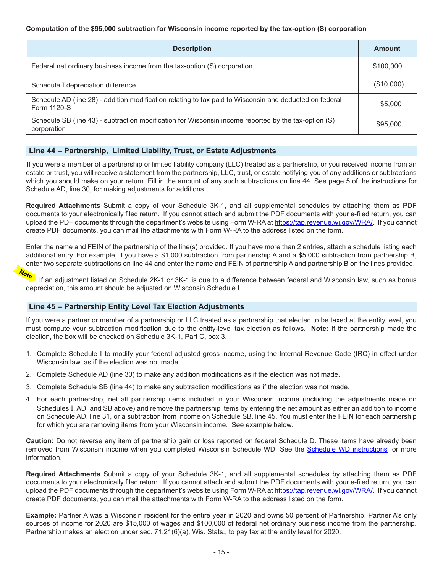#### **Computation of the \$95,000 subtraction for Wisconsin income reported by the tax-option (S) corporation**

| <b>Description</b>                                                                                                     | <b>Amount</b> |
|------------------------------------------------------------------------------------------------------------------------|---------------|
| Federal net ordinary business income from the tax-option (S) corporation                                               | \$100,000     |
| Schedule I depreciation difference                                                                                     | (\$10,000)    |
| Schedule AD (line 28) - addition modification relating to tax paid to Wisconsin and deducted on federal<br>Form 1120-S | \$5,000       |
| Schedule SB (line 43) - subtraction modification for Wisconsin income reported by the tax-option (S)<br>corporation    | \$95,000      |

#### **Line 44 – Partnership, Limited Liability, Trust, or Estate Adjustments**

If you were a member of a partnership or limited liability company (LLC) treated as a partnership, or you received income from an estate or trust, you will receive a statement from the partnership, LLC, trust, or estate notifying you of any additions or subtractions which you should make on your return. Fill in the amount of any such subtractions on line 44. See page 5 of the instructions for Schedule AD, line 30, for making adjustments for additions.

**Required Attachments** Submit a copy of your Schedule 3K-1, and all supplemental schedules by attaching them as PDF documents to your electronically filed return. If you cannot attach and submit the PDF documents with your e-filed return, you can upload the PDF documents through the department's website using Form W-RA at<https://tap.revenue.wi.gov/WRA/>. If you cannot create PDF documents, you can mail the attachments with Form W-RA to the address listed on the form.

Enter the name and FEIN of the partnership of the line(s) provided. If you have more than 2 entries, attach a schedule listing each additional entry. For example, if you have a \$1,000 subtraction from partnership A and a \$5,000 subtraction from partnership B, enter two separate subtractions on line 44 and enter the name and FEIN of partnership A and partnership B on the lines provided.

Note

If an adjustment listed on Schedule 2K-1 or 3K-1 is due to a difference between federal and Wisconsin law, such as bonus depreciation, this amount should be adjusted on Wisconsin Schedule I.

#### **Line 45 – Partnership Entity Level Tax Election Adjustments**

If you were a partner or member of a partnership or LLC treated as a partnership that elected to be taxed at the entity level, you must compute your subtraction modification due to the entity-level tax election as follows. **Note:** If the partnership made the election, the box will be checked on Schedule 3K-1, Part C, box 3.

- 1. Complete Schedule I to modify your federal adjusted gross income, using the Internal Revenue Code (IRC) in effect under Wisconsin law, as if the election was not made.
- 2. Complete Schedule AD (line 30) to make any addition modifications as if the election was not made.
- 3. Complete Schedule SB (line 44) to make any subtraction modifications as if the election was not made.
- 4. For each partnership, net all partnership items included in your Wisconsin income (including the adjustments made on Schedules I, AD, and SB above) and remove the partnership items by entering the net amount as either an addition to income on Schedule AD, line 31, or a subtraction from income on Schedule SB, line 45. You must enter the FEIN for each partnership for which you are removing items from your Wisconsin income. See example below.

**Caution:** Do not reverse any item of partnership gain or loss reported on federal Schedule D. These items have already been removed from Wisconsin income when you completed Wisconsin Schedule WD. See the [Schedule WD instructions](https://www.revenue.wi.gov/TaxForms2020/2020-ScheduleWD-inst.pdf) for more information.

**Required Attachments** Submit a copy of your Schedule 3K-1, and all supplemental schedules by attaching them as PDF documents to your electronically filed return. If you cannot attach and submit the PDF documents with your e-filed return, you can upload the PDF documents through the department's website using Form W-RA at <https://tap.revenue.wi.gov/WRA/>. If you cannot create PDF documents, you can mail the attachments with Form W-RA to the address listed on the form.

**Example:** Partner A was a Wisconsin resident for the entire year in 2020 and owns 50 percent of Partnership. Partner A's only sources of income for 2020 are \$15,000 of wages and \$100,000 of federal net ordinary business income from the partnership. Partnership makes an election under sec. 71.21(6)(a), Wis. Stats., to pay tax at the entity level for 2020.